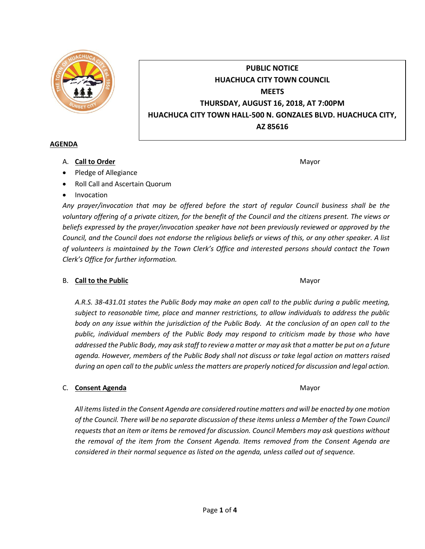

# **PUBLIC NOTICE HUACHUCA CITY TOWN COUNCIL MEETS THURSDAY, AUGUST 16, 2018, AT 7:00PM HUACHUCA CITY TOWN HALL-500 N. GONZALES BLVD. HUACHUCA CITY, AZ 85616**

### **AGENDA**

A. **Call to Order** Mayor **Mayor** Mayor **Mayor** Mayor **Mayor** 

- Pledge of Allegiance
- Roll Call and Ascertain Quorum
- Invocation

*Any prayer/invocation that may be offered before the start of regular Council business shall be the voluntary offering of a private citizen, for the benefit of the Council and the citizens present. The views or beliefs expressed by the prayer/invocation speaker have not been previously reviewed or approved by the Council, and the Council does not endorse the religious beliefs or views of this, or any other speaker. A list of volunteers is maintained by the Town Clerk's Office and interested persons should contact the Town Clerk's Office for further information.*

# B. **Call to the Public** Mayor **Mayor** Mayor **Mayor** Mayor

*A.R.S. 38-431.01 states the Public Body may make an open call to the public during a public meeting, subject to reasonable time, place and manner restrictions, to allow individuals to address the public body on any issue within the jurisdiction of the Public Body. At the conclusion of an open call to the public, individual members of the Public Body may respond to criticism made by those who have addressed the Public Body, may ask staff to review a matter or may ask that a matter be put on a future agenda. However, members of the Public Body shall not discuss or take legal action on matters raised during an open call to the public unless the matters are properly noticed for discussion and legal action.*

# C. **Consent Agenda** Mayor **C. Consent Agenda** Mayor **Mayor**

*All items listed in the Consent Agenda are considered routine matters and will be enacted by one motion of the Council. There will be no separate discussion of these items unless a Member of the Town Council requests that an item or items be removed for discussion. Council Members may ask questions without the removal of the item from the Consent Agenda. Items removed from the Consent Agenda are considered in their normal sequence as listed on the agenda, unless called out of sequence.*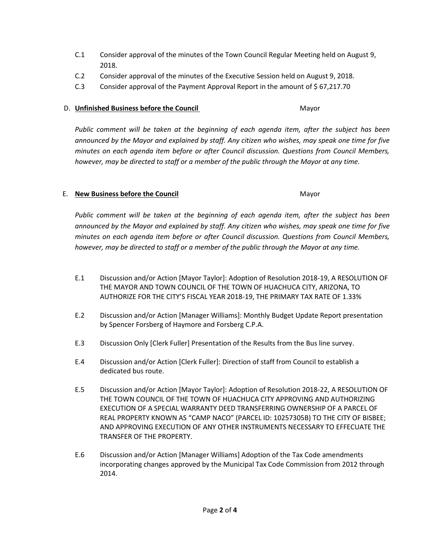- C.1 Consider approval of the minutes of the Town Council Regular Meeting held on August 9, 2018.
- C.2 Consider approval of the minutes of the Executive Session held on August 9, 2018.
- C.3 Consider approval of the Payment Approval Report in the amount of \$ 67,217.70

#### D. **Unfinished Business before the Council** Mayor

*Public comment will be taken at the beginning of each agenda item, after the subject has been announced by the Mayor and explained by staff. Any citizen who wishes, may speak one time for five minutes on each agenda item before or after Council discussion. Questions from Council Members, however, may be directed to staff or a member of the public through the Mayor at any time.*

### E. **New Business before the Council** Mayor

*Public comment will be taken at the beginning of each agenda item, after the subject has been announced by the Mayor and explained by staff. Any citizen who wishes, may speak one time for five minutes on each agenda item before or after Council discussion. Questions from Council Members, however, may be directed to staff or a member of the public through the Mayor at any time.*

- E.1 Discussion and/or Action [Mayor Taylor]: Adoption of Resolution 2018-19, A RESOLUTION OF THE MAYOR AND TOWN COUNCIL OF THE TOWN OF HUACHUCA CITY, ARIZONA, TO AUTHORIZE FOR THE CITY'S FISCAL YEAR 2018-19, THE PRIMARY TAX RATE OF 1.33%
- E.2 Discussion and/or Action [Manager Williams]: Monthly Budget Update Report presentation by Spencer Forsberg of Haymore and Forsberg C.P.A.
- E.3 Discussion Only [Clerk Fuller] Presentation of the Results from the Bus line survey.
- E.4 Discussion and/or Action [Clerk Fuller]: Direction of staff from Council to establish a dedicated bus route.
- E.5 Discussion and/or Action [Mayor Taylor]: Adoption of Resolution 2018-22, A RESOLUTION OF THE TOWN COUNCIL OF THE TOWN OF HUACHUCA CITY APPROVING AND AUTHORIZING EXECUTION OF A SPECIAL WARRANTY DEED TRANSFERRING OWNERSHIP OF A PARCEL OF REAL PROPERTY KNOWN AS "CAMP NACO" (PARCEL ID: 10257305B) TO THE CITY OF BISBEE; AND APPROVING EXECUTION OF ANY OTHER INSTRUMENTS NECESSARY TO EFFECUATE THE TRANSFER OF THE PROPERTY.
- E.6 Discussion and/or Action [Manager Williams] Adoption of the Tax Code amendments incorporating changes approved by the Municipal Tax Code Commission from 2012 through 2014.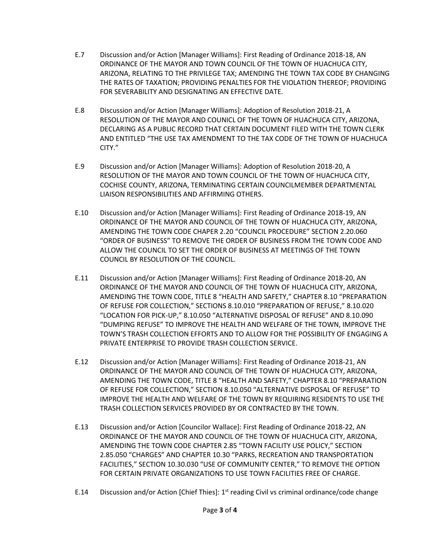- E.7 Discussion and/or Action [Manager Williams]: First Reading of Ordinance 2018-18, AN ORDINANCE OF THE MAYOR AND TOWN COUNCIL OF THE TOWN OF HUACHUCA CITY, ARIZONA, RELATING TO THE PRIVILEGE TAX; AMENDING THE TOWN TAX CODE BY CHANGING THE RATES OF TAXATION; PROVIDING PENALTIES FOR THE VIOLATION THEREOF; PROVIDING FOR SEVERABILITY AND DESIGNATING AN EFFECTIVE DATE.
- E.8 Discussion and/or Action [Manager Williams]: Adoption of Resolution 2018-21, A RESOLUTION OF THE MAYOR AND COUNICL OF THE TOWN OF HUACHUCA CITY, ARIZONA, DECLARING AS A PUBLIC RECORD THAT CERTAIN DOCUMENT FILED WITH THE TOWN CLERK AND ENTITLED "THE USE TAX AMENDMENT TO THE TAX CODE OF THE TOWN OF HUACHUCA CITY."
- E.9 Discussion and/or Action [Manager Williams]: Adoption of Resolution 2018-20, A RESOLUTION OF THE MAYOR AND TOWN COUNCIL OF THE TOWN OF HUACHUCA CITY, COCHISE COUNTY, ARIZONA, TERMINATING CERTAIN COUNCILMEMBER DEPARTMENTAL LIAISON RESPONSIBILITIES AND AFFIRMING OTHERS.
- E.10 Discussion and/or Action [Manager Williams]: First Reading of Ordinance 2018-19, AN ORDINANCE OF THE MAYOR AND COUNCIL OF THE TOWN OF HUACHUCA CITY, ARIZONA, AMENDING THE TOWN CODE CHAPER 2.20 "COUNCIL PROCEDURE" SECTION 2.20.060 "ORDER OF BUSINESS" TO REMOVE THE ORDER OF BUSINESS FROM THE TOWN CODE AND ALLOW THE COUNCIL TO SET THE ORDER OF BUSINESS AT MEETINGS OF THE TOWN COUNCIL BY RESOLUTION OF THE COUNCIL.
- E.11 Discussion and/or Action [Manager Williams]: First Reading of Ordinance 2018-20, AN ORDINANCE OF THE MAYOR AND COUNCIL OF THE TOWN OF HUACHUCA CITY, ARIZONA, AMENDING THE TOWN CODE, TITLE 8 "HEALTH AND SAFETY," CHAPTER 8.10 "PREPARATION OF REFUSE FOR COLLECTION," SECTIONS 8.10.010 "PREPARATION OF REFUSE," 8.10.020 "LOCATION FOR PICK-UP," 8.10.050 "ALTERNATIVE DISPOSAL OF REFUSE" AND 8.10.090 "DUMPING REFUSE" TO IMPROVE THE HEALTH AND WELFARE OF THE TOWN, IMPROVE THE TOWN'S TRASH COLLECTION EFFORTS AND TO ALLOW FOR THE POSSIBILITY OF ENGAGING A PRIVATE ENTERPRISE TO PROVIDE TRASH COLLECTION SERVICE.
- E.12 Discussion and/or Action [Manager Williams]: First Reading of Ordinance 2018-21, AN ORDINANCE OF THE MAYOR AND COUNCIL OF THE TOWN OF HUACHUCA CITY, ARIZONA, AMENDING THE TOWN CODE, TITLE 8 "HEALTH AND SAFETY," CHAPTER 8.10 "PREPARATION OF REFUSE FOR COLLECTION," SECTION 8.10.050 "ALTERNATIVE DISPOSAL OF REFUSE" TO IMPROVE THE HEALTH AND WELFARE OF THE TOWN BY REQUIRING RESIDENTS TO USE THE TRASH COLLECTION SERVICES PROVIDED BY OR CONTRACTED BY THE TOWN.
- E.13 Discussion and/or Action [Councilor Wallace]: First Reading of Ordinance 2018-22, AN ORDINANCE OF THE MAYOR AND COUNCIL OF THE TOWN OF HUACHUCA CITY, ARIZONA, AMENDING THE TOWN CODE CHAPTER 2.85 "TOWN FACILITY USE POLICY," SECTION 2.85.050 "CHARGES" AND CHAPTER 10.30 "PARKS, RECREATION AND TRANSPORTATION FACILITIES," SECTION 10.30.030 "USE OF COMMUNITY CENTER," TO REMOVE THE OPTION FOR CERTAIN PRIVATE ORGANIZATIONS TO USE TOWN FACILITIES FREE OF CHARGE.
- E.14 Discussion and/or Action [Chief Thies]: 1<sup>st</sup> reading Civil vs criminal ordinance/code change